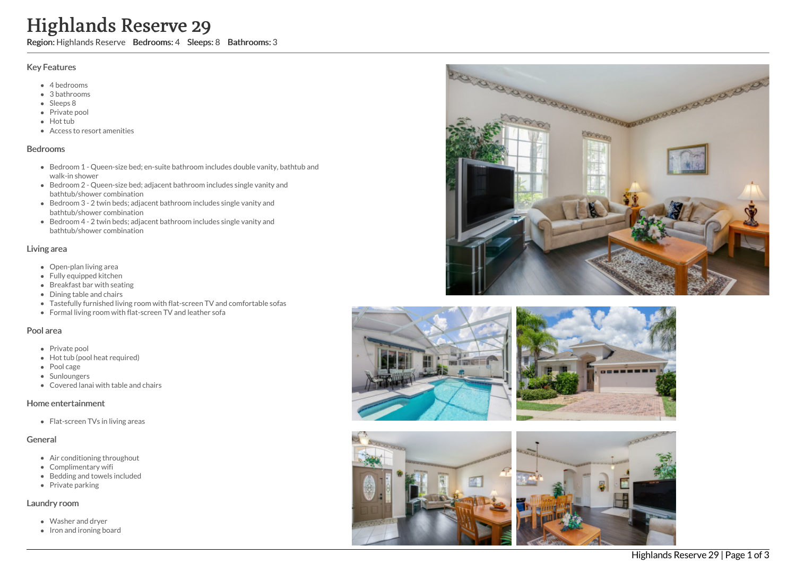# Highlands Reserve 29

Region: Highlands Reserve Bedrooms: 4 Sleeps: 8 Bathrooms: 3

#### Key Features

- 4 b e d r o o m s
- 3 b a t h r o o m s
- Sleeps 8
- Private pool
- Hot tub
- Access to resort amenities

#### **Bedrooms**

- Bedroom 1 Queen-size bed; en-suite bathroom includes double vanity, bathtub and walk-in shower
- Bedroom 2 Queen-size bed; adjacent bathroom includes single vanity and bathtub/shower combination
- Bedroom 3 2 twin beds; adjacent bathroom includes single vanity and bathtub/shower combination
- Bedroom 4 2 twin beds; adjacent bathroom includes single vanity and bathtub/shower combination

#### Living area

- Open-plan living area
- Fully equipped kitchen
- Breakfast bar with seating
- Dining table and chairs
- Tastefully furnished living room with flat-screen TV and comfortable sofas
- Formal living room with flat-screen TV and leather sofa

# Pool area

- Private pool
- Hot tub (pool heat required)
- Pool cage
- **Sunloungers**
- Covered lanai with table and chairs

#### Home entertainment

Flat-screen TVs in living areas

#### General

- Air conditioning throughout
- Complimentary wifi
- Bedding and towels in clu d e d
- Private parking

#### Laundry room

- Washer and dryer
- Iron and ironing board









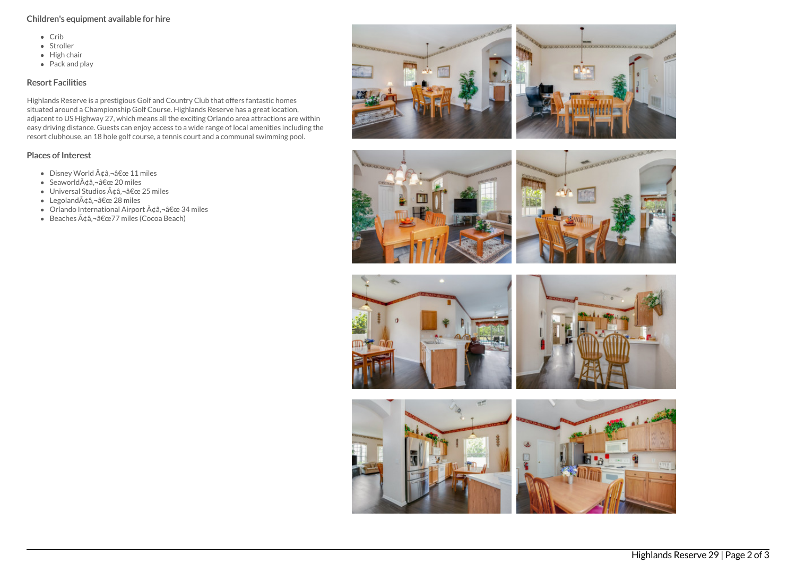### Children's equipment available for hire

- Crib
- Stroller
- $\bullet$  High chair
- $\bullet$  Pack and play

# Resort Facilities

Highlands Reserve is a prestigious Golf and Country Club that offers fantastic homes situated around a Championship Golf Course. Highlands Reserve has a great location, adjacent to US Highway 27, which means all the exciting Orlando area attractions are within easy driving distance. Guests can enjoy access to a wide range of local amenities including the resort clubhouse, an 18 hole golf course, a tennis court and a communal swimming pool.

# Places of Interest

- $\bullet$  Disney World  $\tilde{A} \notin \hat{a}$ ,  $\neg \hat{a} \notin \text{ce} 11$  miles
- Seaworldââ,¬â€œ 20 miles
- $\bullet$  Universal Studios  $\tilde{A} \notin \hat{a}$ ,  $\neg \hat{a} \notin \text{ce } 25$  miles
- Legoland $\tilde{A}$ ¢â,¬â€œ 28 miles
- $\bullet$  Orlando International Airport  $\tilde{A} \notin \hat{a}$ ,  $\tilde{a} \notin \infty$  34 miles
- $\bullet$  Beaches  $\tilde{A} \triangleleft \tilde{a}$ ,  $\neg \hat{a} \in \mathbb{C}$ ez $77$  miles (Cocoa Beach)